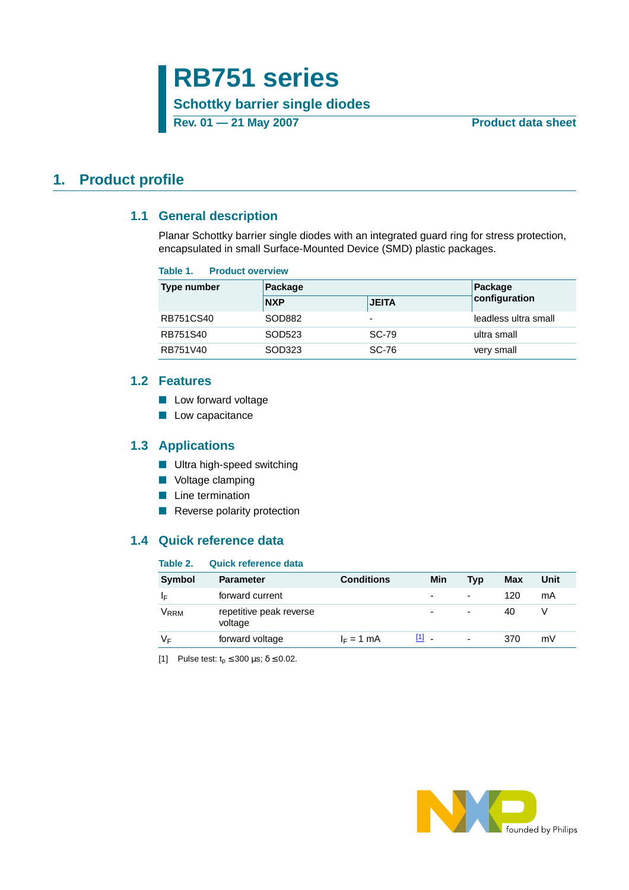# **RB751 series**

**Schottky barrier single diodes**

**Rev. 01 — 21 May 2007 Product data sheet** 

### <span id="page-0-2"></span><span id="page-0-1"></span>**1. Product profile**

### **1.1 General description**

Planar Schottky barrier single diodes with an integrated guard ring for stress protection, encapsulated in small Surface-Mounted Device (SMD) plastic packages.

#### **Table 1. Product overview**

| <b>Type number</b> | Package    | Package                  |                      |
|--------------------|------------|--------------------------|----------------------|
|                    | <b>NXP</b> | <b>JEITA</b>             | configuration        |
| RB751CS40          | SOD882     | $\overline{\phantom{0}}$ | leadless ultra small |
| RB751S40           | SOD523     | <b>SC-79</b>             | ultra small          |
| RB751V40           | SOD323     | SC-76                    | very small           |

### <span id="page-0-3"></span>**1.2 Features**

- Low forward voltage
- Low capacitance

### <span id="page-0-4"></span>**1.3 Applications**

- Ultra high-speed switching
- Voltage clamping
- Line termination
- Reverse polarity protection

### <span id="page-0-5"></span>**1.4 Quick reference data**

#### **Table 2. Quick reference data**

| <b>Symbol</b> | <b>Parameter</b>                   | <b>Conditions</b> | Min     | <b>Typ</b>               | Max | Unit |
|---------------|------------------------------------|-------------------|---------|--------------------------|-----|------|
| I⊫            | forward current                    |                   | -       | $\overline{\phantom{a}}$ | 120 | mA   |
| $\rm V_{RRM}$ | repetitive peak reverse<br>voltage |                   | ۰       | $\overline{\phantom{0}}$ | 40  |      |
| V⊧            | forward voltage                    | $I_F = 1$ mA      | $[1]$ . | ٠                        | 370 | mV   |

<span id="page-0-0"></span>[1] Pulse test:  $t_p \le 300 \text{ }\mu\text{s}; \delta \le 0.02$ .

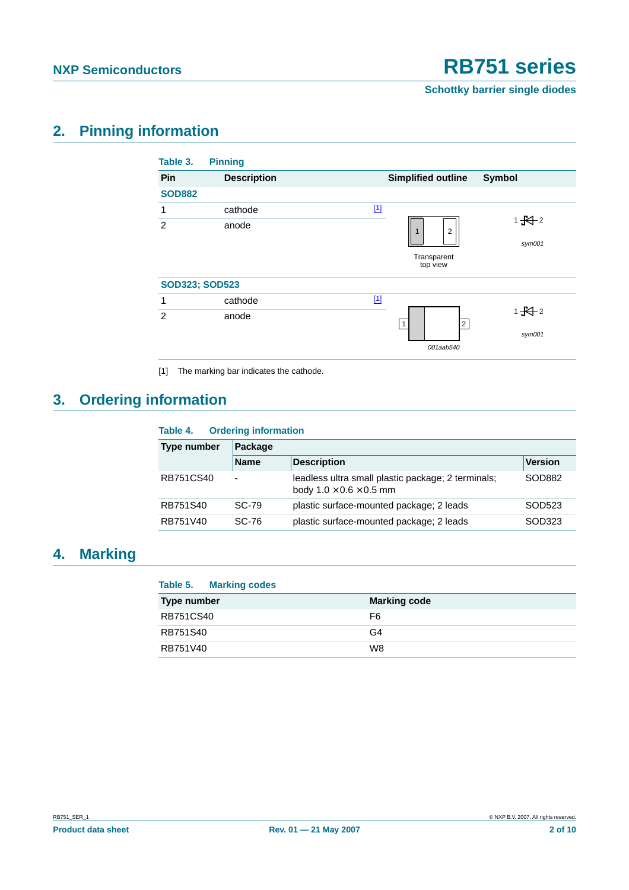**Schottky barrier single diodes**

## <span id="page-1-1"></span>**2. Pinning information**

| Table 3.              | <b>Pinning</b>     |                                            |
|-----------------------|--------------------|--------------------------------------------|
| Pin                   | <b>Description</b> | <b>Simplified outline</b><br><b>Symbol</b> |
| <b>SOD882</b>         |                    |                                            |
| 1                     | cathode            | $[1]$                                      |
| $\overline{2}$        | anode              | $1 + 2$<br>$\overline{2}$<br>٠             |
|                       |                    | sym001                                     |
|                       |                    | Transparent<br>top view                    |
| <b>SOD323; SOD523</b> |                    |                                            |
| 1                     | cathode            | $[1]$                                      |
| $\overline{2}$        | anode              | $1 - 12$                                   |
|                       |                    | $\overline{2}$<br>1<br>sym001              |
|                       |                    | 001aab540                                  |

<span id="page-1-0"></span>[1] The marking bar indicates the cathode.

## <span id="page-1-2"></span>**3. Ordering information**

| Table 4.           | <b>Ordering information</b> |                                                                                           |                |  |  |
|--------------------|-----------------------------|-------------------------------------------------------------------------------------------|----------------|--|--|
| <b>Type number</b> | Package                     |                                                                                           |                |  |  |
|                    | <b>Name</b>                 | <b>Description</b>                                                                        | <b>Version</b> |  |  |
| RB751CS40          | $\overline{\phantom{0}}$    | leadless ultra small plastic package; 2 terminals;<br>body $1.0 \times 0.6 \times 0.5$ mm | SOD882         |  |  |
| RB751S40           | SC-79                       | plastic surface-mounted package; 2 leads                                                  | SOD523         |  |  |
| RB751V40           | SC-76                       | plastic surface-mounted package; 2 leads                                                  | SOD323         |  |  |

## <span id="page-1-3"></span>**4. Marking**

### **Table 5. Marking codes**

| <b>Type number</b> | <b>Marking code</b> |
|--------------------|---------------------|
| RB751CS40          | F6                  |
| RB751S40           | G4                  |
| RB751V40           | W8                  |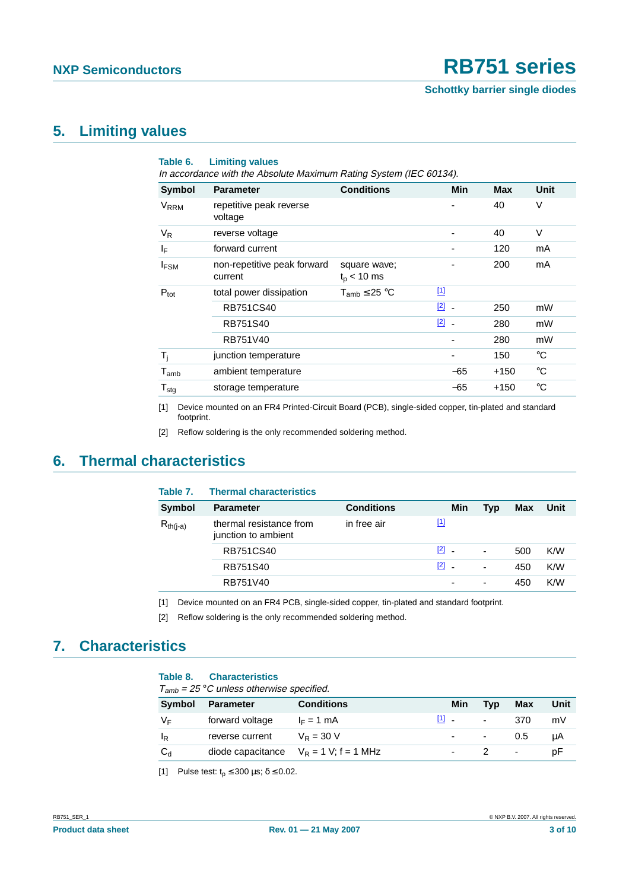### <span id="page-2-5"></span>**5. Limiting values**

| Table 6.                     | <b>Limiting values</b><br>In accordance with the Absolute Maximum Rating System (IEC 60134). |                                 |                                         |            |             |
|------------------------------|----------------------------------------------------------------------------------------------|---------------------------------|-----------------------------------------|------------|-------------|
| Symbol                       | <b>Parameter</b>                                                                             | <b>Conditions</b>               | <b>Min</b>                              | <b>Max</b> | Unit        |
| <b>V<sub>RRM</sub></b>       | repetitive peak reverse<br>voltage                                                           |                                 |                                         | 40         | V           |
| $V_R$                        | reverse voltage                                                                              |                                 |                                         | 40         | $\vee$      |
| $\mathsf{I}_\mathsf{F}$      | forward current                                                                              |                                 |                                         | 120        | mA          |
| <b>IFSM</b>                  | non-repetitive peak forward<br>current                                                       | square wave;<br>$t_{p}$ < 10 ms |                                         | 200        | mA          |
| $P_{\text{tot}}$             | total power dissipation                                                                      | $T_{amb} \leq 25 °C$            | $\boxed{1}$                             |            |             |
|                              | RB751CS40                                                                                    |                                 | $\boxed{2}$<br>$\overline{\phantom{a}}$ | 250        | mW          |
|                              | RB751S40                                                                                     |                                 | [2]                                     | 280        | mW          |
|                              | RB751V40                                                                                     |                                 |                                         | 280        | mW          |
| $T_i$                        | junction temperature                                                                         |                                 |                                         | 150        | °C          |
| $T_{amb}$                    | ambient temperature                                                                          |                                 | $-65$                                   | $+150$     | °C          |
| ${\mathsf T}_{\textsf{stg}}$ | storage temperature                                                                          |                                 | -65                                     | $+150$     | $^{\circ}C$ |

<span id="page-2-0"></span>[1] Device mounted on an FR4 Printed-Circuit Board (PCB), single-sided copper, tin-plated and standard footprint.

<span id="page-2-1"></span>[2] Reflow soldering is the only recommended soldering method.

### <span id="page-2-6"></span>**6. Thermal characteristics**

| Table 7.      | <b>Thermal characteristics</b>                 |                   |                                   |                          |     |      |
|---------------|------------------------------------------------|-------------------|-----------------------------------|--------------------------|-----|------|
| <b>Symbol</b> | <b>Parameter</b>                               | <b>Conditions</b> | Min                               | Typ                      | Max | Unit |
| $R_{th(j-a)}$ | thermal resistance from<br>junction to ambient | in free air       | $[1]$                             |                          |     |      |
|               | <b>RB751CS40</b>                               |                   | $\boxed{2}$ -                     | $\overline{\phantom{a}}$ | 500 | K/W  |
|               | RB751S40                                       |                   | $\begin{bmatrix} 2 \end{bmatrix}$ | $\overline{\phantom{a}}$ | 450 | K/W  |
|               | RB751V40                                       |                   |                                   | $\overline{\phantom{a}}$ | 450 | K/W  |
|               |                                                |                   |                                   |                          |     |      |

<span id="page-2-2"></span>[1] Device mounted on an FR4 PCB, single-sided copper, tin-plated and standard footprint.

<span id="page-2-3"></span>[2] Reflow soldering is the only recommended soldering method.

## <span id="page-2-7"></span>**7. Characteristics**

#### **Table 8. Characteristics**

 $T_{amb}$  = 25 °C unless otherwise specified.

| .              |                  |                                           |                                     |            |                          |      |
|----------------|------------------|-------------------------------------------|-------------------------------------|------------|--------------------------|------|
| Symbol         | <b>Parameter</b> | <b>Conditions</b>                         | Min                                 | Typ        | <b>Max</b>               | Unit |
| V⊧             | forward voltage  | $I_F = 1$ mA                              | $\begin{bmatrix} 1 \end{bmatrix}$ . | $\sim$     | 370                      | mV   |
| <sup>I</sup> R | reverse current  | $V_R = 30 V$                              | $\sim$                              | $\sim 100$ | 0.5                      | μA   |
| $C_d$          |                  | diode capacitance $V_R = 1 V$ ; f = 1 MHz |                                     |            | $\overline{\phantom{a}}$ | рF   |

<span id="page-2-4"></span>[1] Pulse test:  $t_0 \le 300$   $\mu$ s;  $\delta \le 0.02$ .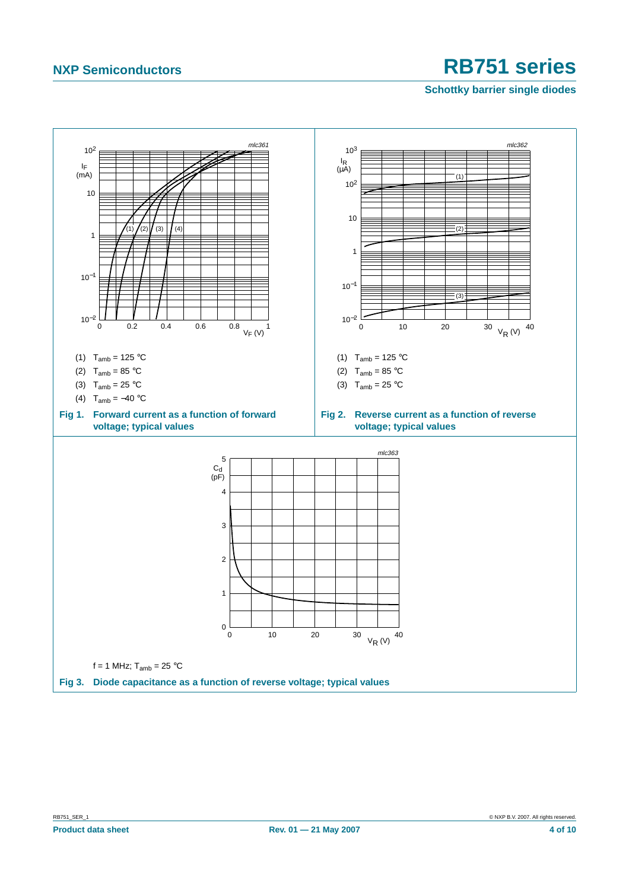**Schottky barrier single diodes**

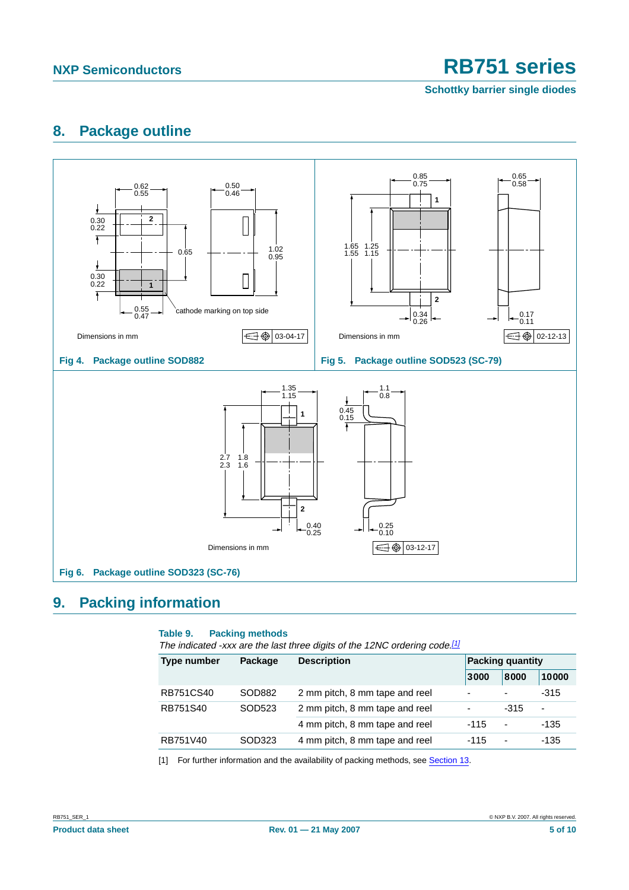**Schottky barrier single diodes**

## <span id="page-4-1"></span>**8. Package outline**



## <span id="page-4-2"></span>**9. Packing information**

#### **Table 9. Packing methods**

The indicated -xxx are the last three digits of the 12NC ordering code.<sup>[\[1\]](#page-4-0)</sup>

| <b>Type number</b> | Package | <b>Description</b>             | <b>Packing quantity</b>  |                |        |
|--------------------|---------|--------------------------------|--------------------------|----------------|--------|
|                    |         |                                | 3000                     | 8000           | 10000  |
| <b>RB751CS40</b>   | SOD882  | 2 mm pitch, 8 mm tape and reel | $\overline{\phantom{a}}$ | ٠              | $-315$ |
| RB751S40<br>SOD523 |         | 2 mm pitch, 8 mm tape and reel | $\overline{\phantom{a}}$ | -315           | ٠      |
|                    |         | 4 mm pitch, 8 mm tape and reel | $-115$                   | $\blacksquare$ | $-135$ |
| RB751V40           | SOD323  | 4 mm pitch, 8 mm tape and reel | $-115$                   | $\sim$         | -135   |

<span id="page-4-0"></span>[1] For further information and the availability of packing methods, see [Section](#page-8-0) 13.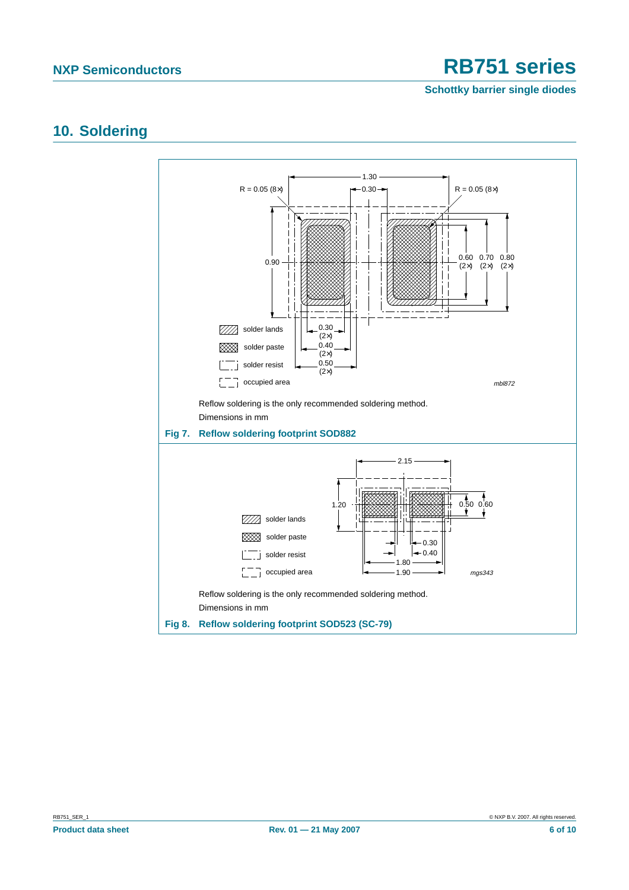**Schottky barrier single diodes**

### <span id="page-5-0"></span>**10. Soldering**

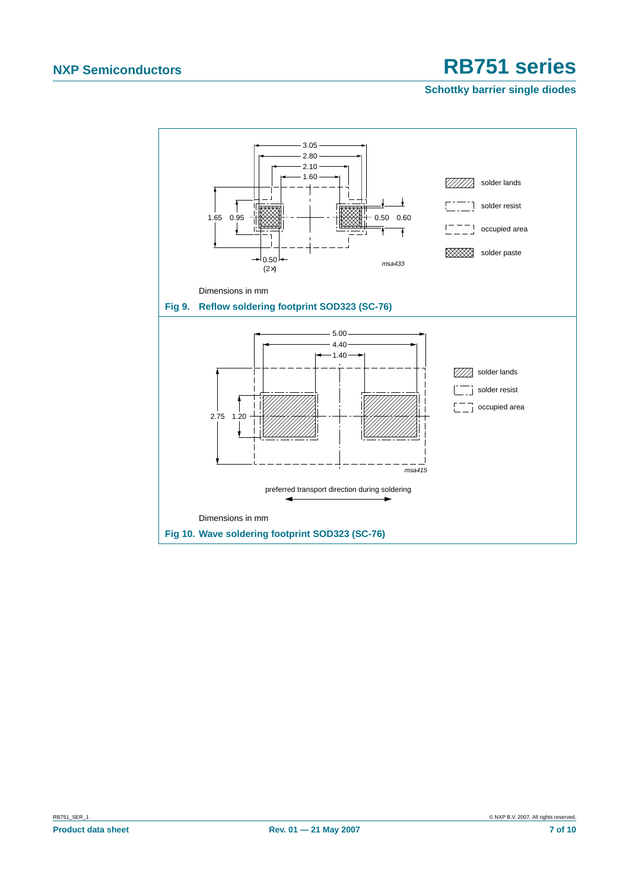#### **Schottky barrier single diodes**

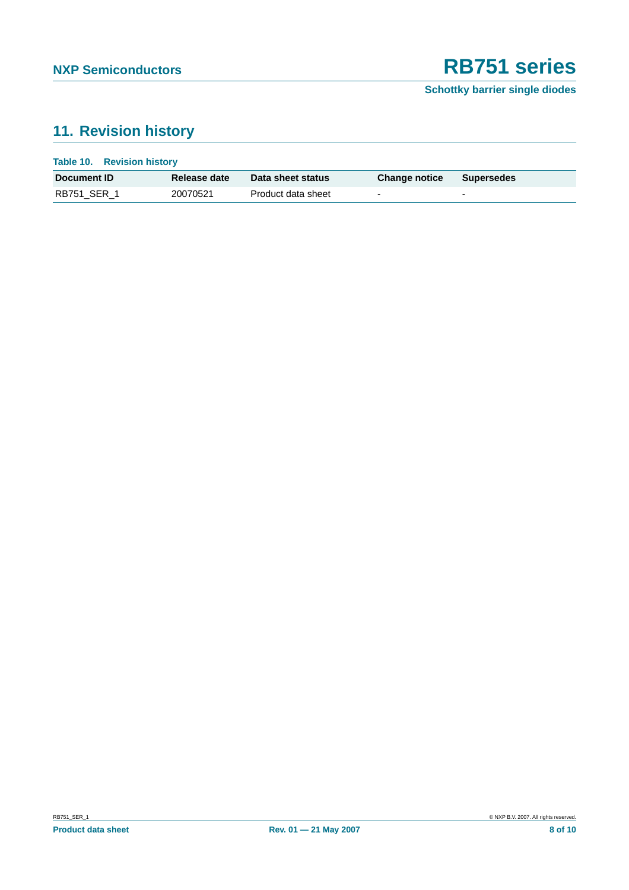**Schottky barrier single diodes**

## <span id="page-7-0"></span>**11. Revision history**

| Table 10. Revision history |              |                    |                          |                          |
|----------------------------|--------------|--------------------|--------------------------|--------------------------|
| Document <b>ID</b>         | Release date | Data sheet status  | <b>Change notice</b>     | Supersedes               |
| RB751 SER 1                | 20070521     | Product data sheet | $\overline{\phantom{0}}$ | $\overline{\phantom{0}}$ |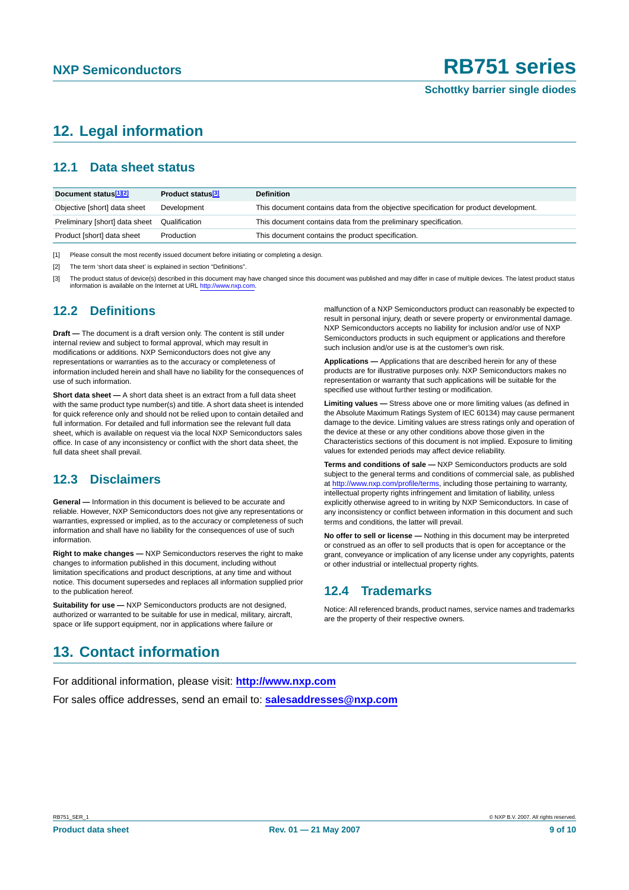## <span id="page-8-1"></span>**12. Legal information**

### <span id="page-8-2"></span>**12.1 Data sheet status**

| Document status <sup>[1][2]</sup> | Product status <sup>[3]</sup> | <b>Definition</b>                                                                     |
|-----------------------------------|-------------------------------|---------------------------------------------------------------------------------------|
| Objective [short] data sheet      | Development                   | This document contains data from the objective specification for product development. |
| Preliminary [short] data sheet    | Qualification                 | This document contains data from the preliminary specification.                       |
| Product [short] data sheet        | Production                    | This document contains the product specification.                                     |

[1] Please consult the most recently issued document before initiating or completing a design.

[2] The term 'short data sheet' is explained in section "Definitions".

The product status of device(s) described in this document may have changed since this document was published and may differ in case of multiple devices. The latest product status information is available on the Internet at URL <http://www.nxp.com>.

### <span id="page-8-3"></span>**12.2 Definitions**

**Draft —** The document is a draft version only. The content is still under internal review and subject to formal approval, which may result in modifications or additions. NXP Semiconductors does not give any representations or warranties as to the accuracy or completeness of information included herein and shall have no liability for the consequences of use of such information.

**Short data sheet —** A short data sheet is an extract from a full data sheet with the same product type number(s) and title. A short data sheet is intended for quick reference only and should not be relied upon to contain detailed and full information. For detailed and full information see the relevant full data sheet, which is available on request via the local NXP Semiconductors sales office. In case of any inconsistency or conflict with the short data sheet, the full data sheet shall prevail.

### <span id="page-8-4"></span>**12.3 Disclaimers**

**General —** Information in this document is believed to be accurate and reliable. However, NXP Semiconductors does not give any representations or warranties, expressed or implied, as to the accuracy or completeness of such information and shall have no liability for the consequences of use of such information.

**Right to make changes —** NXP Semiconductors reserves the right to make changes to information published in this document, including without limitation specifications and product descriptions, at any time and without notice. This document supersedes and replaces all information supplied prior to the publication hereof.

**Suitability for use —** NXP Semiconductors products are not designed, authorized or warranted to be suitable for use in medical, military, aircraft, space or life support equipment, nor in applications where failure or

malfunction of a NXP Semiconductors product can reasonably be expected to result in personal injury, death or severe property or environmental damage. NXP Semiconductors accepts no liability for inclusion and/or use of NXP Semiconductors products in such equipment or applications and therefore such inclusion and/or use is at the customer's own risk.

**Applications —** Applications that are described herein for any of these products are for illustrative purposes only. NXP Semiconductors makes no representation or warranty that such applications will be suitable for the specified use without further testing or modification.

**Limiting values —** Stress above one or more limiting values (as defined in the Absolute Maximum Ratings System of IEC 60134) may cause permanent damage to the device. Limiting values are stress ratings only and operation of the device at these or any other conditions above those given in the Characteristics sections of this document is not implied. Exposure to limiting values for extended periods may affect device reliability.

**Terms and conditions of sale —** NXP Semiconductors products are sold subject to the general terms and conditions of commercial sale, as published at <http://www.nxp.com/profile/terms>, including those pertaining to warranty, intellectual property rights infringement and limitation of liability, unless explicitly otherwise agreed to in writing by NXP Semiconductors. In case of any inconsistency or conflict between information in this document and such terms and conditions, the latter will prevail.

**No offer to sell or license —** Nothing in this document may be interpreted or construed as an offer to sell products that is open for acceptance or the grant, conveyance or implication of any license under any copyrights, patents or other industrial or intellectual property rights.

### <span id="page-8-5"></span>**12.4 Trademarks**

Notice: All referenced brands, product names, service names and trademarks are the property of their respective owners.

## <span id="page-8-0"></span>**13. Contact information**

For additional information, please visit: **http://www.nxp.com** For sales office addresses, send an email to: **salesaddresses@nxp.com**

RB751\_SER\_1 © NXP B.V. 2007. All rights reserved.